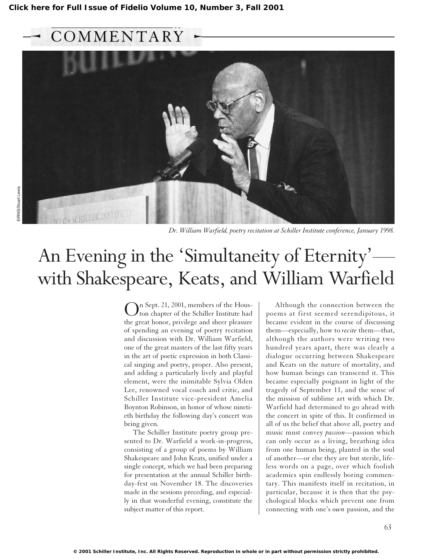## COMMENTARY



*Dr. William Warfield, poetry recitation at Schiller Institute conference, January 1998.*

# An Evening in the 'Simultaneity of Eternity' with Shakespeare, Keats, and William Warfield

On Sept. 21, 2001, members of the Hous-ton chapter of the Schiller Institute had the great honor, privilege and sheer pleasure of spending an evening of poetry recitation and discussion with Dr. William Warfield, one of the great masters of the last fifty years in the art of poetic expression in both Classical singing and poetry, proper. Also present, and adding a particularly lively and playful element, were the inimitable Sylvia Olden Lee, renowned vocal coach and critic, and Schiller Institute vice-president Amelia Boynton Robinson, in honor of whose ninetieth birthday the following day's concert was being given.

The Schiller Institute poetry group presented to Dr. Warfield a work-in-progress, consisting of a group of poems by William Shakespeare and John Keats, unified under a single concept, which we had been preparing for presentation at the annual Schiller birthday-fest on November 18. The discoveries made in the sessions preceding, and especially in that wonderful evening, constitute the subject matter of this report.

Although the connection between the poems at first seemed serendipitous, it became evident in the course of discussing them—especially, how to *recite* them—that, although the authors were writing two hundred years apart, there was clearly a dialogue occurring between Shakespeare and Keats on the nature of mortality, and how human beings can transcend it. This became especially poignant in light of the tragedy of September 11, and the sense of the mission of sublime art with which Dr. Warfield had determined to go ahead with the concert in spite of this. It confirmed in all of us the belief that above all, poetry and music must convey *passion*—passion which can only occur as a living, breathing idea from one human being, planted in the soul of another—or else they are but sterile, lifeless words on a page, over which foolish academics spin endlessly boring commentary. This manifests itself in recitation, in particular, because it is then that the psychological blocks which prevent one from connecting with one's *own* passion, and the

63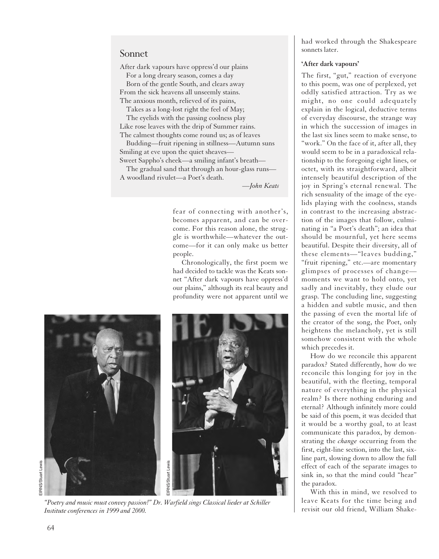## Sonnet

After dark vapours have oppress'd our plains For a long dreary season, comes a day Born of the gentle South, and clears away

From the sick heavens all unseemly stains. The anxious month, relieved of its pains,

Takes as a long-lost right the feel of May;

The eyelids with the passing coolness play Like rose leaves with the drip of Summer rains. The calmest thoughts come round us; as of leaves

Budding—fruit ripening in stillness—Autumn suns Smiling at eve upon the quiet sheaves—

Sweet Sappho's cheek—a smiling infant's breath— The gradual sand that through an hour-glass runs—

A woodland rivulet—a Poet's death.

*—John Keats*

fear of connecting with another's, becomes apparent, and can be overcome. For this reason alone, the struggle is worthwhile—whatever the outcome—for it can only make us better people.

Chronologically, the first poem we had decided to tackle was the Keats sonnet "After dark vapours have oppress'd our plains," although its real beauty and profundity were not apparent until we



*"Poetry and music must convey passion!" Dr. Warfield sings Classical lieder at Schiller Institute conferences in 1999 and 2000.*

had worked through the Shakespeare sonnets later.

#### **'After dark vapours'**

The first, "gut," reaction of everyone to this poem, was one of perplexed, yet oddly satisfied attraction. Try as we might, no one could adequately explain in the logical, deductive terms of everyday discourse, the strange way in which the succession of images in the last six lines seem to make sense, to "work." On the face of it, after all, they would seem to be in a paradoxical relationship to the foregoing eight lines, or octet, with its straightforward, albeit intensely beautiful description of the joy in Spring's eternal renewal. The rich sensuality of the image of the eyelids playing with the coolness, stands in contrast to the increasing abstraction of the images that follow, culminating in "a Poet's death"; an idea that should be mournful, yet here seems beautiful. Despite their diversity, all of these elements—"leaves budding," "fruit ripening," etc.—are momentary glimpses of processes of change moments we want to hold onto, yet sadly and inevitably, they elude our grasp. The concluding line, suggesting a hidden and subtle music, and then the passing of even the mortal life of the creator of the song, the Poet, only heightens the melancholy, yet is still somehow consistent with the whole which precedes it.

How do we reconcile this apparent paradox? Stated differently, how do we reconcile this longing for joy in the beautiful, with the fleeting, temporal nature of everything in the physical realm? Is there nothing enduring and eternal? Although infinitely more could be said of this poem, it was decided that it would be a worthy goal, to at least communicate this paradox, by demonstrating the *change* occurring from the first, eight-line section, into the last, sixline part, slowing down to allow the full effect of each of the separate images to sink in, so that the mind could "hear" the paradox.

With this in mind, we resolved to leave Keats for the time being and revisit our old friend, William Shake-

EIRNS/Stuart Lewis EIRNS/Stuart Lewis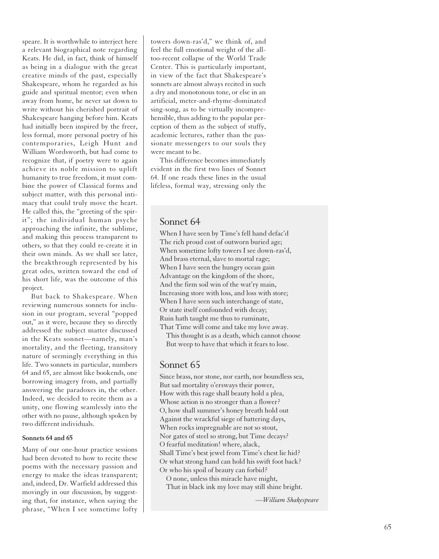speare. It is worthwhile to interject here a relevant biographical note regarding Keats. He did, in fact, think of himself as being in a dialogue with the great creative minds of the past, especially Shakespeare, whom he regarded as his guide and spiritual mentor; even when away from home, he never sat down to write without his cherished portrait of Shakespeare hanging before him. Keats had initially been inspired by the freer, less formal, more personal poetry of his contemporaries, Leigh Hunt and William Wordsworth, but had come to recognize that, if poetry were to again achieve its noble mission to uplift humanity to true freedom, it must combine the power of Classical forms and subject matter, with this personal intimacy that could truly move the heart. He called this, the "greeting of the spirit"; the individual human psyche approaching the infinite, the sublime, and making this process transparent to others, so that they could re-create it in their own minds. As we shall see later, the breakthrough represented by his great odes, written toward the end of his short life, was the outcome of this project.

But back to Shakespeare. When reviewing numerous sonnets for inclusion in our program, several "popped out," as it were, because they so directly addressed the subject matter discussed in the Keats sonnet—namely, man's mortality, and the fleeting, transitory nature of seemingly everything in this life. Two sonnets in particular, numbers 64 and 65, are almost like bookends, one borrowing imagery from, and partially answering the paradoxes in, the other. Indeed, we decided to recite them as a unity, one flowing seamlessly into the other with no pause, although spoken by two different individuals.

#### **Sonnets 64 and 65**

Many of our one-hour practice sessions had been devoted to how to recite these poems with the necessary passion and energy to make the ideas transparent; and, indeed, Dr. Warfield addressed this movingly in our discussion, by suggesting that, for instance, when saying the phrase, "When I see sometime lofty towers down-ras'd," we think of, and feel the full emotional weight of the alltoo-recent collapse of the World Trade Center. This is particularly important, in view of the fact that Shakespeare's sonnets are almost always recited in such a dry and monotonous tone, or else in an artificial, meter-and-rhyme-dominated sing-song, as to be virtually incomprehensible, thus adding to the popular perception of them as the subject of stuffy, academic lectures, rather than the passionate messengers to our souls they were meant to be.

This difference becomes immediately evident in the first two lines of Sonnet 64. If one reads these lines in the usual lifeless, formal way, stressing only the

## Sonnet 64

When I have seen by Time's fell hand defac'd The rich proud cost of outworn buried age; When sometime lofty towers I see down-ras'd, And brass eternal, slave to mortal rage; When I have seen the hungry ocean gain Advantage on the kingdom of the shore, And the firm soil win of the wat'ry main, Increasing store with loss, and loss with store; When I have seen such interchange of state, Or state itself confounded with decay; Ruin hath taught me thus to ruminate, That Time will come and take my love away.

This thought is as a death, which cannot choose But weep to have that which it fears to lose.

## Sonnet 65

Since brass, nor stone, nor earth, nor boundless sea, But sad mortality o'ersways their power, How with this rage shall beauty hold a plea, Whose action is no stronger than a flower? O, how shall summer's honey breath hold out Against the wrackful siege of battering days, When rocks impregnable are not so stout, Nor gates of steel so strong, but Time decays? O fearful meditation! where, alack, Shall Time's best jewel from Time's chest lie hid? Or what strong hand can hold his swift foot back? Or who his spoil of beauty can forbid?

O none, unless this miracle have might, That in black ink my love may still shine bright.

*—William Shakespeare*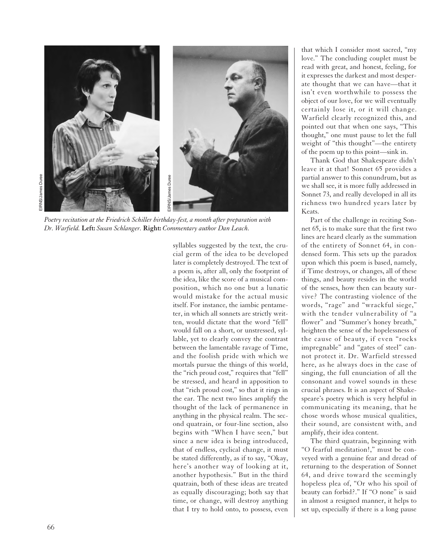

*Poetry recitation at the Friedrich Schiller birthday-fest, a month after preparation with Dr. Warfield.* **Left:** *Susan Schlanger.* **Right:** *Commentary author Dan Leach.*

syllables suggested by the text, the crucial germ of the idea to be developed later is completely destroyed. The text of a poem is, after all, only the footprint of the idea, like the score of a musical composition, which no one but a lunatic would mistake for the actual music itself. For instance, the iambic pentameter, in which all sonnets are strictly written, would dictate that the word "fell" would fall on a short, or unstressed, syllable, yet to clearly convey the contrast between the lamentable ravage of Time, and the foolish pride with which we mortals pursue the things of this world, the "rich proud cost," requires that "fell" be stressed, and heard in apposition to that "rich proud cost," so that it rings in the ear. The next two lines amplify the thought of the lack of permanence in anything in the physical realm. The second quatrain, or four-line section, also begins with "When I have seen," but since a new idea is being introduced, that of endless, cyclical change, it must be stated differently, as if to say, "Okay, here's another way of looking at it, another hypothesis." But in the third quatrain, both of these ideas are treated as equally discouraging; both say that time, or change, will destroy anything that I try to hold onto, to possess, even

that which I consider most sacred, "my love." The concluding couplet must be read with great, and honest, feeling, for it expresses the darkest and most desperate thought that we can have—that it isn't even worthwhile to possess the object of our love, for we will eventually certainly lose it, or it will change. Warfield clearly recognized this, and pointed out that when one says, "This thought," one must pause to let the full weight of "this thought"—the entirety of the poem up to this point—sink in.

Thank God that Shakespeare didn't leave it at that! Sonnet 65 provides a partial answer to this conundrum, but as we shall see, it is more fully addressed in Sonnet 73, and really developed in all its richness two hundred years later by Keats.

Part of the challenge in reciting Sonnet 65, is to make sure that the first two lines are heard clearly as the summation of the entirety of Sonnet 64, in condensed form. This sets up the paradox upon which this poem is based, namely, if Time destroys, or changes, all of these things, and beauty resides in the world of the senses, how then can beauty survive? The contrasting violence of the words, "rage" and "wrackful siege," with the tender vulnerability of "a flower" and "Summer's honey breath," heighten the sense of the hopelessness of the cause of beauty, if even "rocks impregnable" and "gates of steel" cannot protect it. Dr. Warfield stressed here, as he always does in the case of singing, the full enunciation of all the consonant and vowel sounds in these crucial phrases. It is an aspect of Shakespeare's poetry which is very helpful in communicating its meaning, that he chose words whose musical qualities, their sound, are consistent with, and amplify, their idea content.

The third quatrain, beginning with "O fearful meditation!," must be conveyed with a genuine fear and dread of returning to the desperation of Sonnet 64, and drive toward the seemingly hopeless plea of, "Or who his spoil of beauty can forbid?." If "O none" is said in almost a resigned manner, it helps to set up, especially if there is a long pause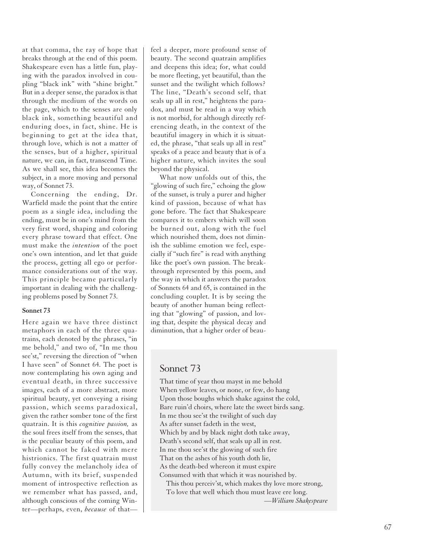at that comma, the ray of hope that breaks through at the end of this poem. Shakespeare even has a little fun, playing with the paradox involved in coupling "black ink" with "shine bright." But in a deeper sense, the paradox is that through the medium of the words on the page, which to the senses are only black ink, something beautiful and enduring does, in fact, shine. He is beginning to get at the idea that, through love, which is not a matter of the senses, but of a higher, spiritual nature, we can, in fact, transcend Time. As we shall see, this idea becomes the subject, in a more moving and personal way, of Sonnet 73.

Concerning the ending, Dr. Warfield made the point that the entire poem as a single idea, including the ending, must be in one's mind from the very first word, shaping and coloring every phrase toward that effect. One must make the *intention* of the poet one's own intention, and let that guide the process, getting all ego or performance considerations out of the way. This principle became particularly important in dealing with the challenging problems posed by Sonnet 73.

#### **Sonnet 73**

Here again we have three distinct metaphors in each of the three quatrains, each denoted by the phrases, "in me behold," and two of, "In me thou see'st," reversing the direction of "when I have seen" of Sonnet 64. The poet is now contemplating his own aging and eventual death, in three successive images, each of a more abstract, more spiritual beauty, yet conveying a rising passion, which seems paradoxical, given the rather somber tone of the first quatrain. It is this *cognitive passion,* as the soul frees itself from the senses, that is the peculiar beauty of this poem, and which cannot be faked with mere histrionics. The first quatrain must fully convey the melancholy idea of Autumn, with its brief, suspended moment of introspective reflection as we remember what has passed, and, although conscious of the coming Winter—perhaps, even, *because* of thatfeel a deeper, more profound sense of beauty. The second quatrain amplifies and deepens this idea; for, what could be more fleeting, yet beautiful, than the sunset and the twilight which follows? The line, "Death's second self, that seals up all in rest," heightens the paradox, and must be read in a way which is not morbid, for although directly referencing death, in the context of the beautiful imagery in which it is situated, the phrase, "that seals up all in rest" speaks of a peace and beauty that is of a higher nature, which invites the soul beyond the physical.

What now unfolds out of this, the "glowing of such fire," echoing the glow of the sunset, is truly a purer and higher kind of passion, because of what has gone before. The fact that Shakespeare compares it to embers which will soon be burned out, along with the fuel which nourished them, does not diminish the sublime emotion we feel, especially if "such fire" is read with anything like the poet's own passion. The breakthrough represented by this poem, and the way in which it answers the paradox of Sonnets 64 and 65, is contained in the concluding couplet. It is by seeing the beauty of another human being reflecting that "glowing" of passion, and loving that, despite the physical decay and diminution, that a higher order of beau-

## Sonnet 73

That time of year thou mayst in me behold When yellow leaves, or none, or few, do hang Upon those boughs which shake against the cold, Bare ruin'd choirs, where late the sweet birds sang. In me thou see'st the twilight of such day As after sunset fadeth in the west, Which by and by black night doth take away, Death's second self, that seals up all in rest. In me thou see'st the glowing of such fire That on the ashes of his youth doth lie, As the death-bed whereon it must expire Consumed with that which it was nourished by.

This thou perceiv'st, which makes thy love more strong, To love that well which thou must leave ere long.

*—William Shakespeare*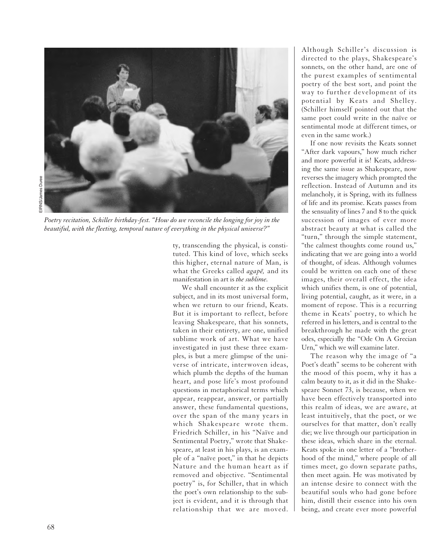

*Poetry recitation, Schiller birthday-fest. "How do we reconcile the longing for joy in the beautiful, with the fleeting, temporal nature of everything in the physical universe?"*

ty, transcending the physical, is constituted. This kind of love, which seeks this higher, eternal nature of Man, is what the Greeks called *agape*, and its manifestation in art is *the sublime.*

We shall encounter it as the explicit subject, and in its most universal form, when we return to our friend, Keats. But it is important to reflect, before leaving Shakespeare, that his sonnets, taken in their entirety, are one, unified sublime work of art. What we have investigated in just these three examples, is but a mere glimpse of the universe of intricate, interwoven ideas, which plumb the depths of the human heart, and pose life's most profound questions in metaphorical terms which appear, reappear, answer, or partially answer, these fundamental questions, over the span of the many years in which Shakespeare wrote them. Friedrich Schiller, in his "Naïve and Sentimental Poetry," wrote that Shakespeare, at least in his plays, is an example of a "naïve poet," in that he depicts Nature and the human heart as if removed and objective. "Sentimental poetry" is, for Schiller, that in which the poet's own relationship to the subject is evident, and it is through that relationship that we are moved.

Although Schiller's discussion is directed to the plays, Shakespeare's sonnets, on the other hand, are one of the purest examples of sentimental poetry of the best sort, and point the way to further development of its potential by Keats and Shelley. (Schiller himself pointed out that the same poet could write in the naïve or sentimental mode at different times, or even in the same work.)

If one now revisits the Keats sonnet "After dark vapours," how much richer and more powerful it is! Keats, addressing the same issue as Shakespeare, now reverses the imagery which prompted the reflection. Instead of Autumn and its melancholy, it is Spring, with its fullness of life and its promise. Keats passes from the sensuality of lines 7 and 8 to the quick succession of images of ever more abstract beauty at what is called the "turn," through the simple statement, "the calmest thoughts come round us," indicating that we are going into a world of thought, of ideas. Although volumes could be written on each one of these images, their overall effect, the idea which unifies them, is one of potential, living potential, caught, as it were, in a moment of repose. This is a recurring theme in Keats' poetry, to which he referred in his letters, and is central to the breakthrough he made with the great odes, especially the "Ode On A Grecian Urn," which we will examine later.

The reason why the image of "a Poet's death" seems to be coherent with the mood of this poem, why it has a calm beauty to it, as it did in the Shakespeare Sonnet 73, is because, when we have been effectively transported into this realm of ideas, we are aware, at least intuitively, that the poet, or we ourselves for that matter, don't really die; we live through our participation in these ideas, which share in the eternal. Keats spoke in one letter of a "brotherhood of the mind," where people of all times meet, go down separate paths, then meet again. He was motivated by an intense desire to connect with the beautiful souls who had gone before him, distill their essence into his own being, and create ever more powerful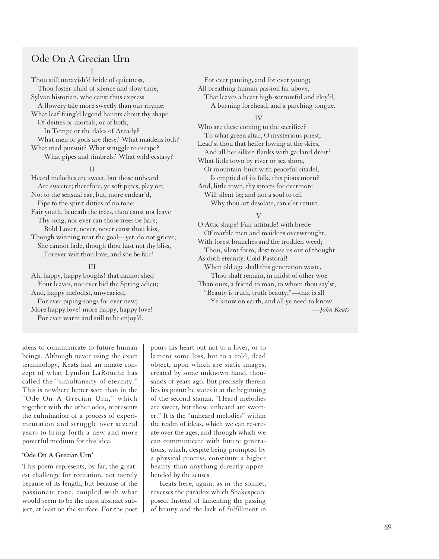## Ode On A Grecian Urn

#### I

Thou still unravish'd bride of quietness, Thou foster-child of silence and slow time, Sylvan historian, who canst thus express A flowery tale more sweetly than our rhyme: What leaf-fring'd legend haunts about thy shape Of deities or mortals, or of both, In Tempe or the dales of Arcady? What men or gods are these? What maidens loth? What mad pursuit? What struggle to escape? What pipes and timbrels? What wild ecstasy? II

Heard melodies are sweet, but those unheard Are sweeter; therefore, ye soft pipes, play on; Not to the sensual ear, but, more endear'd, Pipe to the spirit ditties of no tone: Fair youth, beneath the trees, thou canst not leave Thy song, nor ever can those trees be bare; Bold Lover, never, never canst thou kiss, Though winning near the goal—yet, do not grieve; She cannot fade, though thou hast not thy bliss, Forever wilt thou love, and she be fair!

#### III

Ah, happy, happy boughs! that cannot shed Your leaves, nor ever bid the Spring adieu; And, happy melodist, unwearied, For ever piping songs for ever new; More happy love! more happy, happy love! For ever warm and still to be enjoy'd,

For ever panting, and for ever young; All breathing human passion far above, That leaves a heart high-sorrowful and cloy'd, A burning forehead, and a parching tongue.

#### IV

Who are these coming to the sacrifice? To what green altar, O mysterious priest, Lead'st thou that heifer lowing at the skies, And all her silken flanks with garland drest? What little town by river or sea shore, Or mountain-built with peaceful citadel, Is emptied of its folk, this pious morn? And, little town, thy streets for evermore Will silent be; and not a soul to tell Why thou art desolate, can e'er return.

### V

O Attic shape! Fair attitude! with brede Of marble men and maidens overwrought, With forest branches and the trodden weed; Thou, silent form, dost tease us out of thought As doth eternity: Cold Pastoral! When old age shall this generation waste, Thou shalt remain, in midst of other woe Than ours, a friend to man, to whom thou say'st, "Beauty is truth, truth beauty,"—that is all Ye know on earth, and all ye need to know.

*—John Keats*

ideas to communicate to future human beings. Although never using the exact terminology, Keats had an innate concept of what Lyndon LaRouche has called the "simultaneity of eternity." This is nowhere better seen than in the "Ode On A Grecian Urn," which together with the other odes, represents the culmination of a process of experimentation and struggle over several years to bring forth a new and more powerful medium for this idea.

#### **'Ode On A Grecian Urn'**

This poem represents, by far, the greatest challenge for recitation, not merely because of its length, but because of the passionate tone, coupled with what would seem to be the most abstract subject, at least on the surface. For the poet pours his heart out not to a lover, or to lament some loss, but to a cold, dead object, upon which are static images, created by some unknown hand, thousands of years ago. But precisely therein lies its point: he states it at the beginning of the second stanza, "Heard melodies are sweet, but those unheard are sweeter." It is the "unheard melodies" within the realm of ideas, which we can re-create over the ages, and through which we can communicate with future generations, which, despite being prompted by a physical process, constitute a higher beauty than anything directly apprehended by the senses.

Keats here, again, as in the sonnet, reverses the paradox which Shakespeare posed. Instead of lamenting the passing of beauty and the lack of fulfillment in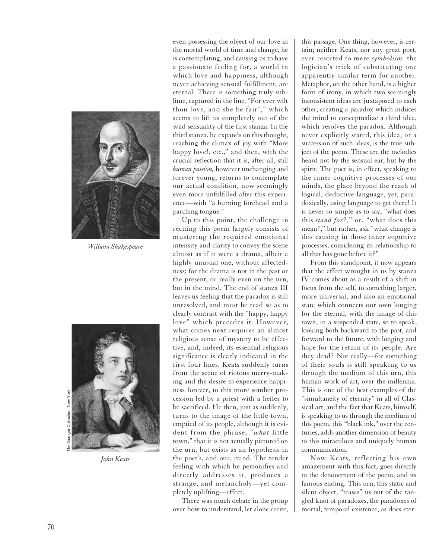

*William Shakespeare*



*John Keats*

even possessing the object of our love in the mortal world of time and change, he is contemplating, and causing us to have a passionate feeling for, a world in which love and happiness, although never achieving sensual fulfillment, are eternal. There is something truly sublime, captured in the line, "For ever wilt thou love, and she be fair!," which seems to lift us completely out of the wild sensuality of the first stanza. In the third stanza, he expands on this thought, reaching the climax of joy with "More happy love!, etc.," and then, with the crucial reflection that it is, after all, still *human passion,* however unchanging and forever young, returns to contemplate our actual condition, now seemingly even more unfulfilled after this experience—with "a burning forehead and a parching tongue."

Up to this point, the challenge in reciting this poem largely consists of mustering the required emotional intensity and clarity to convey the scene almost as if it were a drama, albeit a highly unusual one, without affectedness; for the drama is not in the past or the present, or really even on the urn, but in the mind. The end of stanza III leaves us feeling that the paradox is still unresolved, and must be read so as to clearly contrast with the "happy, happy love" which precedes it. However, what comes next requires an almost religious sense of mystery to be effective, and, indeed, its essential religious significance is clearly indicated in the first four lines. Keats suddenly turns from the scene of riotous merry-making and the desire to experience happiness forever, to this more somber procession led by a priest with a heifer to be sacrificed. He then, just as suddenly, turns to the image of the little town, emptied of its people, although it is evident from the phrase, "*what* little town," that it is not actually pictured on the urn, but exists as an hypothesis in the poet's, and our, mind. The tender feeling with which he personifies and directly addresses it, produces a strange, and melancholy—yet completely uplifting—effect.

There was much debate in the group over how to understand, let alone recite, this passage. One thing, however, is certain; neither Keats, nor any great poet, ever resorted to mere *symbolism,* the logician's trick of substituting one apparently similar term for another. Metaphor, on the other hand, is a higher form of irony, in which two seemingly inconsistent ideas are juxtaposed to each other, creating a paradox which induces the mind to conceptualize a third idea, which resolves the paradox. Although never explicitly stated, this idea, or a succession of such ideas, is the true subject of the poem. These are the melodies heard not by the sensual ear, but by the spirit. The poet is, in effect, speaking to the inner cognitive processes of our minds, the place beyond the reach of logical, deductive language, yet, paradoxically, using language to get there! It is never so simple as to say, "what does this *stand for?,*" or, "what does this mean?," but rather, ask "what change is this causing in those inner cognitive processes, considering its relationship to all that has gone before it?"

From this standpoint, it now appears that the effect wrought in us by stanza IV comes about as a result of a shift in focus from the self, to something larger, more universal, and also an emotional state which connects our own longing for the eternal, with the image of this town, in a suspended state, so to speak, looking both backward to the past, and forward to the future, with longing and hope for the return of its people. Are they dead? Not really—for something of their souls is still speaking to us through the medium of this urn, this human work of art, over the millennia. This is one of the best examples of the "simultaneity of eternity" in all of Classical art, and the fact that Keats, himself, is speaking to us through the medium of this poem, this "black ink," over the centuries, adds another dimension of beauty to this miraculous and uniquely human communication.

Now Keats, reflecting his own amazement with this fact, goes directly to the denouement of the poem, and its famous ending. This urn, this static and silent object, "teases" us out of the tangled knot of paradoxes, the paradoxes of mortal, temporal existence, as does eter